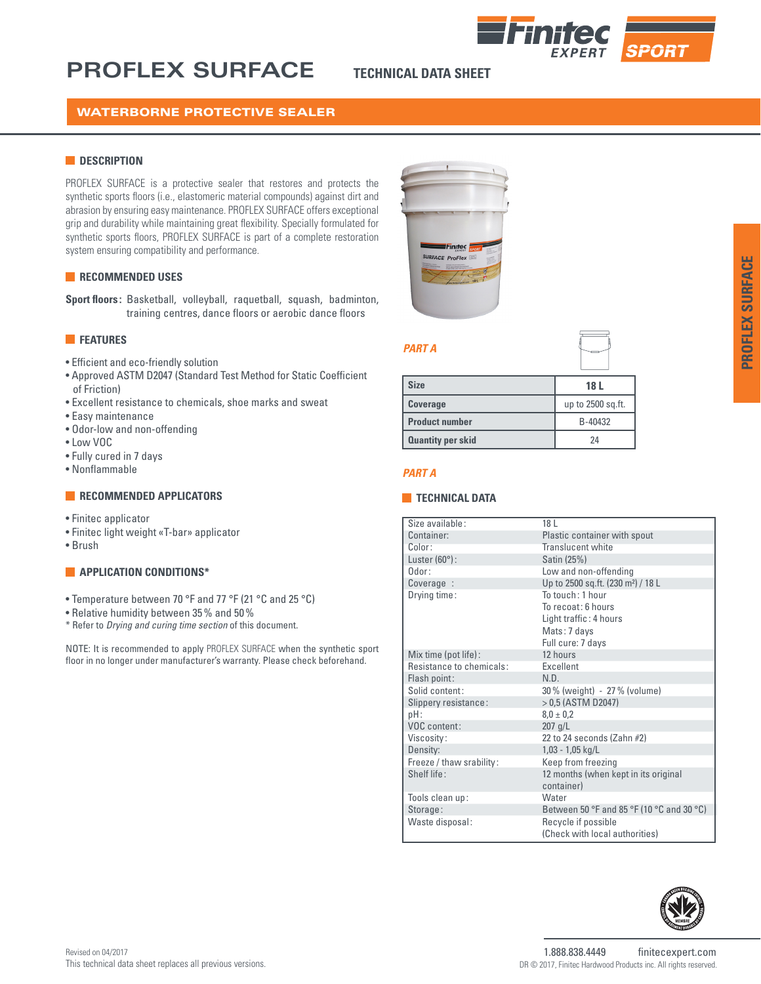# **PROFLEX SURFACE TECHNICAL DATA SHEET**



# WATERBORNE PROTECTIVE SEALER

#### **DESCRIPTION**

PROFLEX SURFACE is a protective sealer that restores and protects the synthetic sports floors (i.e., elastomeric material compounds) against dirt and abrasion by ensuring easy maintenance. PROFLEX SURFACE offers exceptional grip and durability while maintaining great flexibility. Specially formulated for synthetic sports floors, PROFLEX SURFACE is part of a complete restoration system ensuring compatibility and performance.

#### **RECOMMENDED USES**

**Sport floors :** Basketball, volleyball, raquetball, squash, badminton, training centres, dance floors or aerobic dance floors

#### **FEATURES**

- Efficient and eco-friendly solution
- Approved ASTM D2047 (Standard Test Method for Static Coefficient of Friction)
- Excellent resistance to chemicals, shoe marks and sweat
- Easy maintenance
- Odor-low and non-offending
- Low VOC
- Fully cured in 7 days
- Nonflammable

#### **RECOMMENDED APPLICATORS**

- Finitec applicator
- Finitec light weight «T-bar» applicator
- Brush

### **APPLICATION CONDITIONS\***

- Temperature between 70 °F and 77 °F (21 °C and 25 °C)
- Relative humidity between 35% and 50%
- \* Refer to *Drying and curing time section* of this document.

NOTE: It is recommended to apply PROFLEX SURFACE when the synthetic sport floor in no longer under manufacturer's warranty. Please check beforehand.



#### *PART A*

# **Size 18 L Coverage** up to 2500 sq.ft. **Product number** B-40432 **Quantity per skid** 24

#### *PART A*

#### **TECHNICAL DATA**

| Size available:          | 18 L                                               |
|--------------------------|----------------------------------------------------|
| Container:               | Plastic container with spout                       |
| Color:                   | Translucent white                                  |
| Luster $(60^{\circ})$ :  | Satin (25%)                                        |
| Odor:                    | Low and non-offending                              |
| Coverage :               | Up to 2500 sq.ft. (230 m <sup>2</sup> ) / 18 L     |
| Drying time:             | $T_0$ touch: 1 hour                                |
|                          | To recoat: 6 hours                                 |
|                          | Light traffic: 4 hours                             |
|                          | Mats: 7 days                                       |
|                          | Full cure: 7 days                                  |
| Mix time (pot life):     | 12 hours                                           |
| Resistance to chemicals: | <b>Excellent</b>                                   |
| Flash point:             | N.D.                                               |
| Solid content:           | 30% (weight) - 27% (volume)                        |
| Slippery resistance:     | $> 0.5$ (ASTM D2047)                               |
| $pH$ :                   | $8.0 \pm 0.2$                                      |
| VOC content:             | $207$ g/L                                          |
| Viscosity:               | 22 to 24 seconds (Zahn #2)                         |
| Density:                 | $1,03 - 1,05$ kg/L                                 |
| Freeze / thaw srability: | Keep from freezing                                 |
| Shelf life:              | 12 months (when kept in its original<br>container) |
| Tools clean up:          | Water                                              |
| Storage:                 | Between 50 °F and 85 °F (10 °C and 30 °C)          |
| Waste disposal:          | Recycle if possible                                |
|                          | (Check with local authorities)                     |
|                          |                                                    |